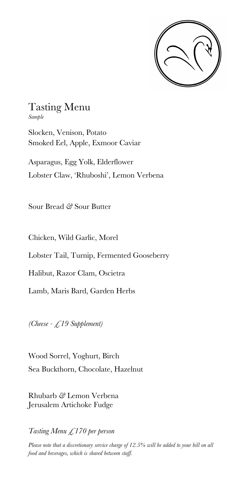

## Tasting Menu

*Sample*

Slocken, Venison, Potato Smoked Eel, Apple, Exmoor Caviar

Asparagus, Egg Yolk, Elderflower Lobster Claw, 'Rhuboshi', Lemon Verbena

Sour Bread *&* Sour Butter

Chicken, Wild Garlic, Morel

Lobster Tail, Turnip, Fermented Gooseberry

Halibut, Razor Clam, Oscietra

Lamb, Maris Bard, Garden Herbs

*(Cheese - £19 Supplement)*

Wood Sorrel, Yoghurt, Birch Sea Buckthorn, Chocolate, Hazelnut

Rhubarb *&* Lemon Verbena Jerusalem Artichoke Fudge

*Tasting Menu £170 per person*

*Please note that a discretionary service charge of 12.5% will be added to your bill on all food and beverages, which is shared between staff.*